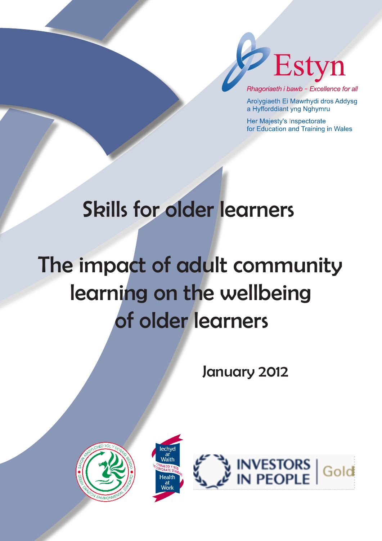

Rhagoriaeth i bawb - Excellence for all

Arolygiaeth Ei Mawrhydi dros Addysg a Hyfforddiant yng Nghymru

Her Majesty's Inspectorate for Education and Training in Wales

# Skills for older learners

# The impact of adult community learning on the wellbeing of older learners

January 2012





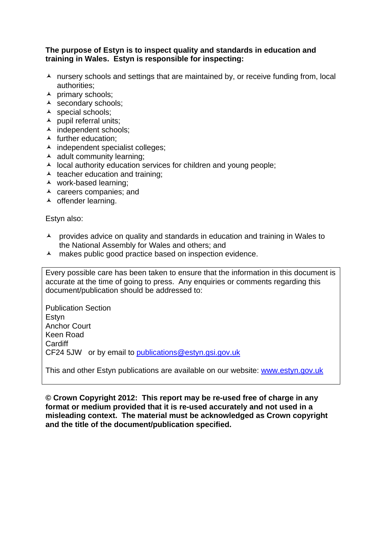#### **The purpose of Estyn is to inspect quality and standards in education and training in Wales. Estyn is responsible for inspecting:**

- $\lambda$  nursery schools and settings that are maintained by, or receive funding from, local authorities;
- $\lambda$  primary schools;
- $\triangle$  secondary schools;
- A special schools;
- $\lambda$  pupil referral units;
- ▲ independent schools;
- $\blacktriangle$  further education:
- $\lambda$  independent specialist colleges;
- $\lambda$  adult community learning;
- $\lambda$  local authority education services for children and young people;
- $\triangle$  teacher education and training;
- work-based learning;
- $\lambda$  careers companies; and
- $\lambda$  offender learning.

Estyn also:

- $\lambda$  provides advice on quality and standards in education and training in Wales to the National Assembly for Wales and others; and
- A makes public good practice based on inspection evidence.

Every possible care has been taken to ensure that the information in this document is accurate at the time of going to press. Any enquiries or comments regarding this document/publication should be addressed to:

Publication Section Estyn Anchor Court Keen Road **Cardiff** CF24 5JW or by email to publications@estyn.gsi.gov.uk

This and other Estyn publications are available on our website: www.estyn.gov.uk

**© Crown Copyright 2012: This report may be re-used free of charge in any format or medium provided that it is re-used accurately and not used in a misleading context. The material must be acknowledged as Crown copyright and the title of the document/publication specified.**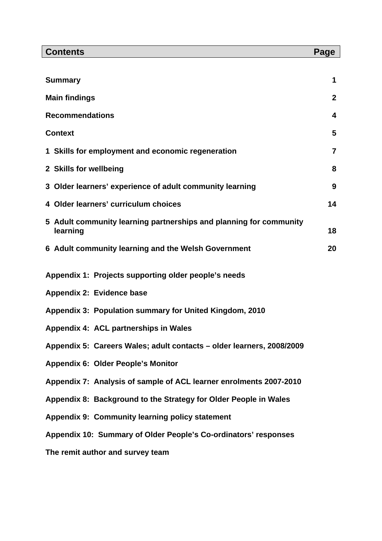| <b>Contents</b>                                                                | Page        |
|--------------------------------------------------------------------------------|-------------|
|                                                                                |             |
| <b>Summary</b>                                                                 | 1           |
| <b>Main findings</b>                                                           | $\mathbf 2$ |
| <b>Recommendations</b>                                                         | 4           |
| <b>Context</b>                                                                 | 5           |
| 1 Skills for employment and economic regeneration                              | 7           |
| 2 Skills for wellbeing                                                         | 8           |
| 3 Older learners' experience of adult community learning                       | 9           |
| Older learners' curriculum choices<br>4                                        | 14          |
| 5 Adult community learning partnerships and planning for community<br>learning | 18          |
| 6 Adult community learning and the Welsh Government                            | 20          |
| Appendix 1: Projects supporting older people's needs                           |             |
| Appendix 2: Evidence base                                                      |             |
| Appendix 3: Population summary for United Kingdom, 2010                        |             |
| Appendix 4: ACL partnerships in Wales                                          |             |
| Appendix 5: Careers Wales; adult contacts - older learners, 2008/2009          |             |
| <b>Appendix 6: Older People's Monitor</b>                                      |             |
| Appendix 7: Analysis of sample of ACL learner enrolments 2007-2010             |             |
| Appendix 8: Background to the Strategy for Older People in Wales               |             |
| Appendix 9: Community learning policy statement                                |             |
| Appendix 10: Summary of Older People's Co-ordinators' responses                |             |
| The remit author and survey team                                               |             |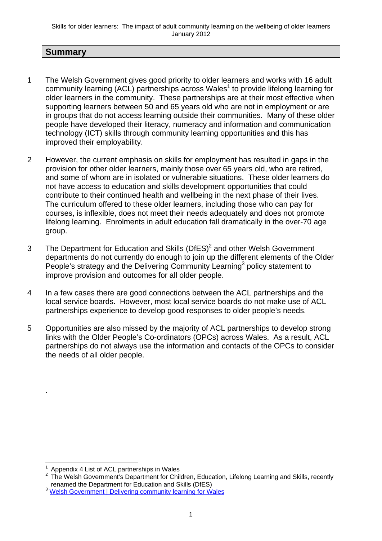# **Summary**

- 1 The Welsh Government gives good priority to older learners and works with 16 adult community learning (ACL) partnerships across Wales<sup>1</sup> to provide lifelong learning for older learners in the community. These partnerships are at their most effective when supporting learners between 50 and 65 years old who are not in employment or are in groups that do not access learning outside their communities. Many of these older people have developed their literacy, numeracy and information and communication technology (ICT) skills through community learning opportunities and this has improved their employability.
- 2 However, the current emphasis on skills for employment has resulted in gaps in the provision for other older learners, mainly those over 65 years old, who are retired, and some of whom are in isolated or vulnerable situations. These older learners do not have access to education and skills development opportunities that could contribute to their continued health and wellbeing in the next phase of their lives. The curriculum offered to these older learners, including those who can pay for courses, is inflexible, does not meet their needs adequately and does not promote lifelong learning. Enrolments in adult education fall dramatically in the over-70 age group.
- 3 The Department for Education and Skills (DfES)<sup>2</sup> and other Welsh Government departments do not currently do enough to join up the different elements of the Older People's strategy and the Delivering Community Learning<sup>3</sup> policy statement to improve provision and outcomes for all older people.
- 4 In a few cases there are good connections between the ACL partnerships and the local service boards. However, most local service boards do not make use of ACL partnerships experience to develop good responses to older people's needs.
- 5 Opportunities are also missed by the majority of ACL partnerships to develop strong links with the Older People's Co-ordinators (OPCs) across Wales. As a result, ACL partnerships do not always use the information and contacts of the OPCs to consider the needs of all older people.

.

<sup>1</sup> 1 Appendix 4 List of ACL partnerships in Wales

 $2$  The Welsh Government's Department for Children, Education, Lifelong Learning and Skills, recently renamed the Department for Education and Skills (DfES)<sup>3</sup> Welsh Government | Delivering community learning for Wales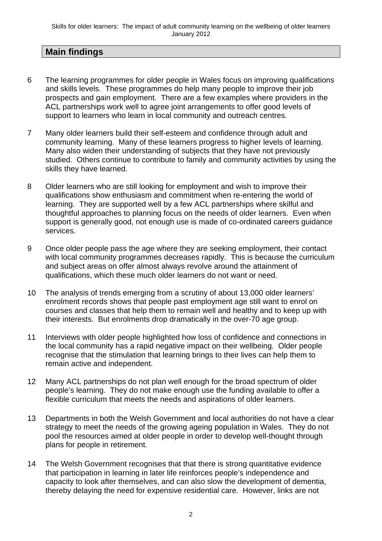# **Main findings**

- 6 The learning programmes for older people in Wales focus on improving qualifications and skills levels. These programmes do help many people to improve their job prospects and gain employment. There are a few examples where providers in the ACL partnerships work well to agree joint arrangements to offer good levels of support to learners who learn in local community and outreach centres.
- 7 Many older learners build their self-esteem and confidence through adult and community learning. Many of these learners progress to higher levels of learning. Many also widen their understanding of subjects that they have not previously studied. Others continue to contribute to family and community activities by using the skills they have learned.
- 8 Older learners who are still looking for employment and wish to improve their qualifications show enthusiasm and commitment when re-entering the world of learning. They are supported well by a few ACL partnerships where skilful and thoughtful approaches to planning focus on the needs of older learners. Even when support is generally good, not enough use is made of co-ordinated careers guidance services.
- 9 Once older people pass the age where they are seeking employment, their contact with local community programmes decreases rapidly. This is because the curriculum and subject areas on offer almost always revolve around the attainment of qualifications, which these much older learners do not want or need.
- 10 The analysis of trends emerging from a scrutiny of about 13,000 older learners' enrolment records shows that people past employment age still want to enrol on courses and classes that help them to remain well and healthy and to keep up with their interests. But enrolments drop dramatically in the over-70 age group.
- 11 Interviews with older people highlighted how loss of confidence and connections in the local community has a rapid negative impact on their wellbeing. Older people recognise that the stimulation that learning brings to their lives can help them to remain active and independent.
- 12 Many ACL partnerships do not plan well enough for the broad spectrum of older people's learning. They do not make enough use the funding available to offer a flexible curriculum that meets the needs and aspirations of older learners.
- 13 Departments in both the Welsh Government and local authorities do not have a clear strategy to meet the needs of the growing ageing population in Wales. They do not pool the resources aimed at older people in order to develop well-thought through plans for people in retirement.
- 14 The Welsh Government recognises that that there is strong quantitative evidence that participation in learning in later life reinforces people's independence and capacity to look after themselves, and can also slow the development of dementia, thereby delaying the need for expensive residential care. However, links are not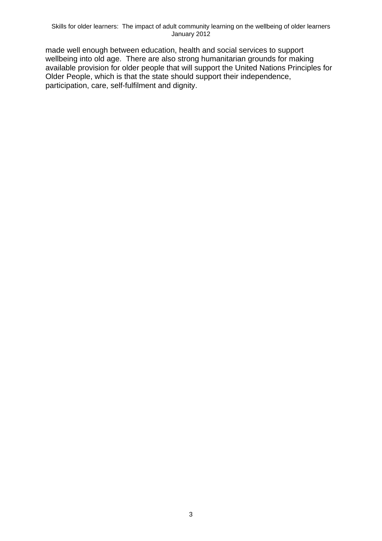made well enough between education, health and social services to support wellbeing into old age. There are also strong humanitarian grounds for making available provision for older people that will support the United Nations Principles for Older People, which is that the state should support their independence, participation, care, self-fulfilment and dignity.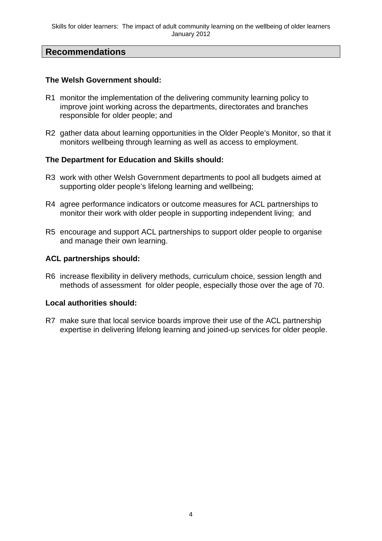#### **Recommendations**

#### **The Welsh Government should:**

- R1 monitor the implementation of the delivering community learning policy to improve joint working across the departments, directorates and branches responsible for older people; and
- R2 gather data about learning opportunities in the Older People's Monitor, so that it monitors wellbeing through learning as well as access to employment.

#### **The Department for Education and Skills should:**

- R3 work with other Welsh Government departments to pool all budgets aimed at supporting older people's lifelong learning and wellbeing;
- R4 agree performance indicators or outcome measures for ACL partnerships to monitor their work with older people in supporting independent living; and
- R5 encourage and support ACL partnerships to support older people to organise and manage their own learning.

#### **ACL partnerships should:**

R6 increase flexibility in delivery methods, curriculum choice, session length and methods of assessment for older people, especially those over the age of 70.

#### **Local authorities should:**

R7 make sure that local service boards improve their use of the ACL partnership expertise in delivering lifelong learning and joined-up services for older people.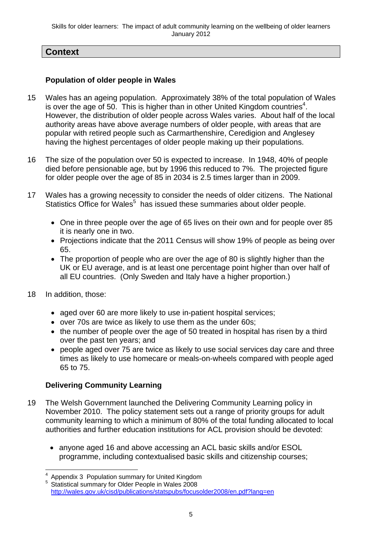# **Context**

#### **Population of older people in Wales**

- 15 Wales has an ageing population. Approximately 38% of the total population of Wales is over the age of 50. This is higher than in other United Kingdom countries<sup>4</sup>. However, the distribution of older people across Wales varies. About half of the local authority areas have above average numbers of older people, with areas that are popular with retired people such as Carmarthenshire, Ceredigion and Anglesey having the highest percentages of older people making up their populations.
- 16 The size of the population over 50 is expected to increase. In 1948, 40% of people died before pensionable age, but by 1996 this reduced to 7%. The projected figure for older people over the age of 85 in 2034 is 2.5 times larger than in 2009.
- 17 Wales has a growing necessity to consider the needs of older citizens. The National Statistics Office for Wales<sup>5</sup> has issued these summaries about older people.
	- One in three people over the age of 65 lives on their own and for people over 85 it is nearly one in two.
	- Projections indicate that the 2011 Census will show 19% of people as being over 65.
	- The proportion of people who are over the age of 80 is slightly higher than the UK or EU average, and is at least one percentage point higher than over half of all EU countries. (Only Sweden and Italy have a higher proportion.)
- 18 In addition, those:

1

- aged over 60 are more likely to use in-patient hospital services;
- over 70s are twice as likely to use them as the under 60s;
- the number of people over the age of 50 treated in hospital has risen by a third over the past ten years; and
- people aged over 75 are twice as likely to use social services day care and three times as likely to use homecare or meals-on-wheels compared with people aged 65 to 75.

#### **Delivering Community Learning**

- 19 The Welsh Government launched the Delivering Community Learning policy in November 2010. The policy statement sets out a range of priority groups for adult community learning to which a minimum of 80% of the total funding allocated to local authorities and further education institutions for ACL provision should be devoted:
	- anyone aged 16 and above accessing an ACL basic skills and/or ESOL programme, including contextualised basic skills and citizenship courses;

<sup>4</sup> Appendix 3 Population summary for United Kingdom

<sup>5</sup> Statistical summary for Older People in Wales 2008 http://wales.gov.uk/cisd/publications/statspubs/focusolder2008/en.pdf?lang=en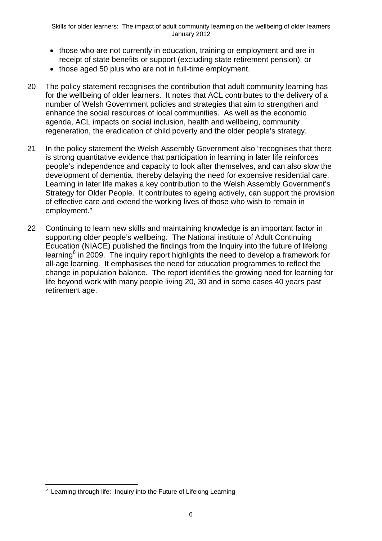- those who are not currently in education, training or employment and are in receipt of state benefits or support (excluding state retirement pension); or
- those aged 50 plus who are not in full-time employment.
- 20 The policy statement recognises the contribution that adult community learning has for the wellbeing of older learners. It notes that ACL contributes to the delivery of a number of Welsh Government policies and strategies that aim to strengthen and enhance the social resources of local communities. As well as the economic agenda, ACL impacts on social inclusion, health and wellbeing, community regeneration, the eradication of child poverty and the older people's strategy.
- 21 In the policy statement the Welsh Assembly Government also "recognises that there is strong quantitative evidence that participation in learning in later life reinforces people's independence and capacity to look after themselves, and can also slow the development of dementia, thereby delaying the need for expensive residential care. Learning in later life makes a key contribution to the Welsh Assembly Government's Strategy for Older People. It contributes to ageing actively, can support the provision of effective care and extend the working lives of those who wish to remain in employment."
- 22 Continuing to learn new skills and maintaining knowledge is an important factor in supporting older people's wellbeing. The National institute of Adult Continuing Education (NIACE) published the findings from the Inquiry into the future of lifelong learning<sup>6</sup> in 2009. The inquiry report highlights the need to develop a framework for all-age learning. It emphasises the need for education programmes to reflect the change in population balance. The report identifies the growing need for learning for life beyond work with many people living 20, 30 and in some cases 40 years past retirement age.

<sup>1</sup>  $6$  Learning through life: Inquiry into the Future of Lifelong Learning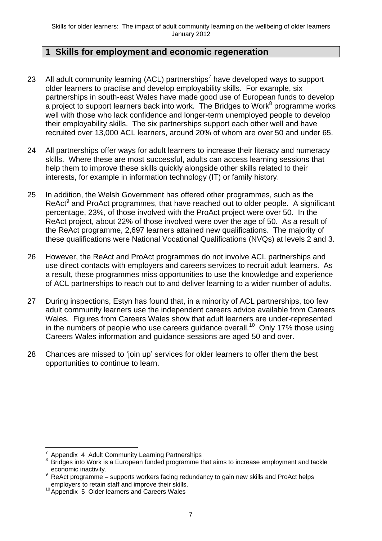## **1 Skills for employment and economic regeneration**

- 23 All adult community learning (ACL) partnerships<sup>7</sup> have developed ways to support older learners to practise and develop employability skills. For example, six partnerships in south-east Wales have made good use of European funds to develop a project to support learners back into work. The Bridges to Work $^8$  programme works well with those who lack confidence and longer-term unemployed people to develop their employability skills. The six partnerships support each other well and have recruited over 13,000 ACL learners, around 20% of whom are over 50 and under 65.
- 24 All partnerships offer ways for adult learners to increase their literacy and numeracy skills. Where these are most successful, adults can access learning sessions that help them to improve these skills quickly alongside other skills related to their interests, for example in information technology (IT) or family history.
- 25 In addition, the Welsh Government has offered other programmes, such as the ReAct<sup>9</sup> and ProAct programmes, that have reached out to older people. A significant percentage, 23%, of those involved with the ProAct project were over 50. In the ReAct project, about 22% of those involved were over the age of 50. As a result of the ReAct programme, 2,697 learners attained new qualifications. The majority of these qualifications were National Vocational Qualifications (NVQs) at levels 2 and 3.
- 26 However, the ReAct and ProAct programmes do not involve ACL partnerships and use direct contacts with employers and careers services to recruit adult learners. As a result, these programmes miss opportunities to use the knowledge and experience of ACL partnerships to reach out to and deliver learning to a wider number of adults.
- 27 During inspections, Estyn has found that, in a minority of ACL partnerships, too few adult community learners use the independent careers advice available from Careers Wales. Figures from Careers Wales show that adult learners are under-represented in the numbers of people who use careers quidance overall.<sup>10</sup> Only 17% those using Careers Wales information and guidance sessions are aged 50 and over.
- 28 Chances are missed to 'join up' services for older learners to offer them the best opportunities to continue to learn.

<sup>1</sup> 7 Appendix 4 Adult Community Learning Partnerships

<sup>8</sup> Bridges into Work is a European funded programme that aims to increase employment and tackle economic inactivity.

ReAct programme – supports workers facing redundancy to gain new skills and ProAct helps employers to retain staff and improve their skills.

 $10$  Appendix 5 Older learners and Careers Wales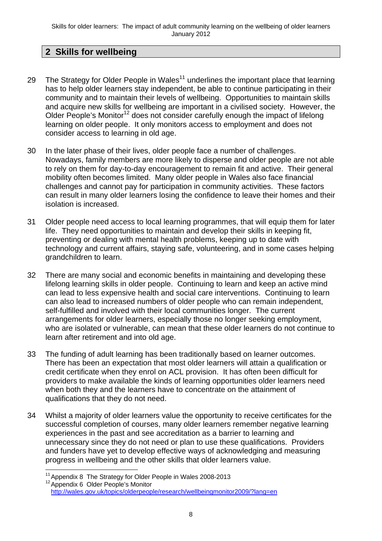# **2 Skills for wellbeing**

- 29 The Strategy for Older People in Wales<sup>11</sup> underlines the important place that learning has to help older learners stay independent, be able to continue participating in their community and to maintain their levels of wellbeing. Opportunities to maintain skills and acquire new skills for wellbeing are important in a civilised society. However, the Older People's Monitor<sup>12</sup> does not consider carefully enough the impact of lifelong learning on older people. It only monitors access to employment and does not consider access to learning in old age.
- 30 In the later phase of their lives, older people face a number of challenges. Nowadays, family members are more likely to disperse and older people are not able to rely on them for day-to-day encouragement to remain fit and active. Their general mobility often becomes limited. Many older people in Wales also face financial challenges and cannot pay for participation in community activities. These factors can result in many older learners losing the confidence to leave their homes and their isolation is increased.
- 31 Older people need access to local learning programmes, that will equip them for later life. They need opportunities to maintain and develop their skills in keeping fit, preventing or dealing with mental health problems, keeping up to date with technology and current affairs, staying safe, volunteering, and in some cases helping grandchildren to learn.
- 32 There are many social and economic benefits in maintaining and developing these lifelong learning skills in older people. Continuing to learn and keep an active mind can lead to less expensive health and social care interventions. Continuing to learn can also lead to increased numbers of older people who can remain independent, self-fulfilled and involved with their local communities longer. The current arrangements for older learners, especially those no longer seeking employment, who are isolated or vulnerable, can mean that these older learners do not continue to learn after retirement and into old age.
- 33 The funding of adult learning has been traditionally based on learner outcomes. There has been an expectation that most older learners will attain a qualification or credit certificate when they enrol on ACL provision. It has often been difficult for providers to make available the kinds of learning opportunities older learners need when both they and the learners have to concentrate on the attainment of qualifications that they do not need.
- 34 Whilst a majority of older learners value the opportunity to receive certificates for the successful completion of courses, many older learners remember negative learning experiences in the past and see accreditation as a barrier to learning and unnecessary since they do not need or plan to use these qualifications. Providers and funders have yet to develop effective ways of acknowledging and measuring progress in wellbeing and the other skills that older learners value.

<sup>1</sup> <sup>11</sup> Appendix 8 The Strategy for Older People in Wales 2008-2013<br><sup>12</sup> Appendix 6 Older People's Monitor

http://wales.gov.uk/topics/olderpeople/research/wellbeingmonitor2009/?lang=en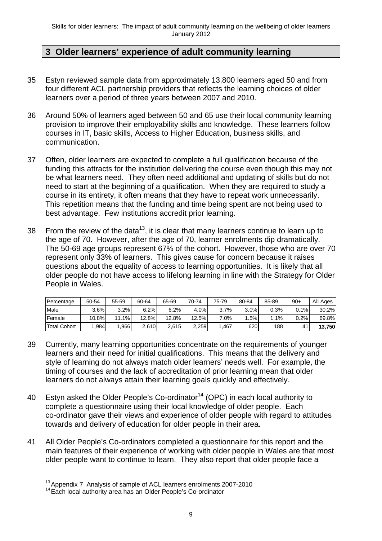# **3 Older learners' experience of adult community learning**

- 35 Estyn reviewed sample data from approximately 13,800 learners aged 50 and from four different ACL partnership providers that reflects the learning choices of older learners over a period of three years between 2007 and 2010.
- 36 Around 50% of learners aged between 50 and 65 use their local community learning provision to improve their employability skills and knowledge. These learners follow courses in IT, basic skills, Access to Higher Education, business skills, and communication.
- 37 Often, older learners are expected to complete a full qualification because of the funding this attracts for the institution delivering the course even though this may not be what learners need. They often need additional and updating of skills but do not need to start at the beginning of a qualification. When they are required to study a course in its entirety, it often means that they have to repeat work unnecessarily. This repetition means that the funding and time being spent are not being used to best advantage. Few institutions accredit prior learning.
- 38 From the review of the data<sup>13</sup>, it is clear that many learners continue to learn up to the age of 70. However, after the age of 70, learner enrolments dip dramatically. The 50-69 age groups represent 67% of the cohort. However, those who are over 70 represent only 33% of learners. This gives cause for concern because it raises questions about the equality of access to learning opportunities. It is likely that all older people do not have access to lifelong learning in line with the Strategy for Older People in Wales.

| Percentage   | 50-54 | 55-59          | 60-64 | 65-69 | 70-74 | 75-79   | 80-84 | 85-89 | $90+$ | All Ages |
|--------------|-------|----------------|-------|-------|-------|---------|-------|-------|-------|----------|
| Male         | 3.6%  | 3.2%           | 6.2%  | 6.2%  | 4.0%  | 3.7%    | 3.0%  | 0.3%  | 0.1%  | 30.2%    |
| Female       | 10.8% | $.1\%$<br>11.1 | 12.8% | 12.8% | 12.5% | $7.0\%$ | .5%   | 1%    | 0.2%  | 69.8%    |
| Total Cohort | .984  | .966           | 2.610 | 2,615 | 2.259 | .467    | 620   | 188   | 41    | 13,750   |

- 39 Currently, many learning opportunities concentrate on the requirements of younger learners and their need for initial qualifications. This means that the delivery and style of learning do not always match older learners' needs well. For example, the timing of courses and the lack of accreditation of prior learning mean that older learners do not always attain their learning goals quickly and effectively.
- 40 Estyn asked the Older People's Co-ordinator<sup>14</sup> (OPC) in each local authority to complete a questionnaire using their local knowledge of older people. Each co-ordinator gave their views and experience of older people with regard to attitudes towards and delivery of education for older people in their area.
- 41 All Older People's Co-ordinators completed a questionnaire for this report and the main features of their experience of working with older people in Wales are that most older people want to continue to learn. They also report that older people face a

<sup>&</sup>lt;u>.</u>  $13$  Appendix 7 Analysis of sample of ACL learners enrolments 2007-2010

<sup>&</sup>lt;sup>14</sup> Each local authority area has an Older People's Co-ordinator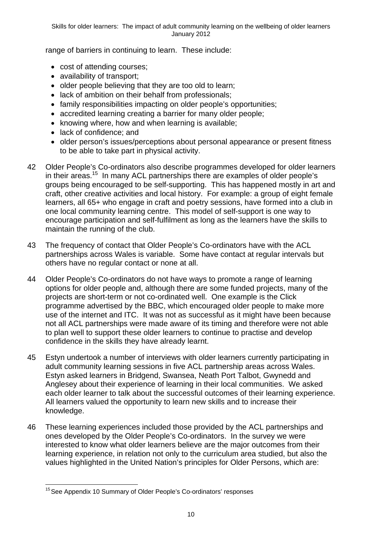Skills for older learners: The impact of adult community learning on the wellbeing of older learners January 2012

range of barriers in continuing to learn. These include:

- cost of attending courses;
- availability of transport;
- older people believing that they are too old to learn;
- lack of ambition on their behalf from professionals;
- family responsibilities impacting on older people's opportunities;
- accredited learning creating a barrier for many older people;
- knowing where, how and when learning is available;
- lack of confidence: and
- older person's issues/perceptions about personal appearance or present fitness to be able to take part in physical activity.
- 42 Older People's Co-ordinators also describe programmes developed for older learners in their areas.<sup>15</sup> In many ACL partnerships there are examples of older people's groups being encouraged to be self-supporting. This has happened mostly in art and craft, other creative activities and local history. For example: a group of eight female learners, all 65+ who engage in craft and poetry sessions, have formed into a club in one local community learning centre. This model of self-support is one way to encourage participation and self-fulfilment as long as the learners have the skills to maintain the running of the club.
- 43 The frequency of contact that Older People's Co-ordinators have with the ACL partnerships across Wales is variable. Some have contact at regular intervals but others have no regular contact or none at all.
- 44 Older People's Co-ordinators do not have ways to promote a range of learning options for older people and, although there are some funded projects, many of the projects are short-term or not co-ordinated well. One example is the Click programme advertised by the BBC, which encouraged older people to make more use of the internet and ITC. It was not as successful as it might have been because not all ACL partnerships were made aware of its timing and therefore were not able to plan well to support these older learners to continue to practise and develop confidence in the skills they have already learnt.
- 45 Estyn undertook a number of interviews with older learners currently participating in adult community learning sessions in five ACL partnership areas across Wales. Estyn asked learners in Bridgend, Swansea, Neath Port Talbot, Gwynedd and Anglesey about their experience of learning in their local communities. We asked each older learner to talk about the successful outcomes of their learning experience. All learners valued the opportunity to learn new skills and to increase their knowledge.
- 46 These learning experiences included those provided by the ACL partnerships and ones developed by the Older People's Co-ordinators. In the survey we were interested to know what older learners believe are the major outcomes from their learning experience, in relation not only to the curriculum area studied, but also the values highlighted in the United Nation's principles for Older Persons, which are:

<sup>1</sup> 15 See Appendix 10 Summary of Older People's Co-ordinators' responses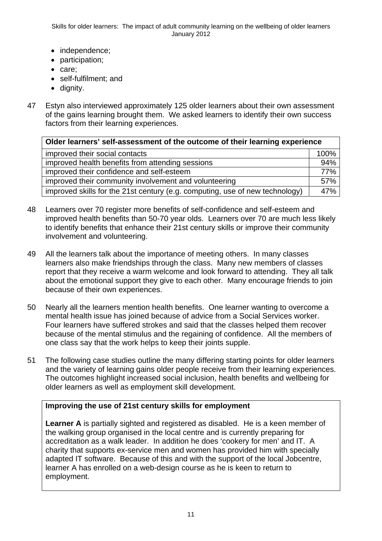Skills for older learners: The impact of adult community learning on the wellbeing of older learners January 2012

- independence;
- participation;
- care:
- self-fulfilment; and
- dianity.
- 47 Estyn also interviewed approximately 125 older learners about their own assessment of the gains learning brought them. We asked learners to identify their own success factors from their learning experiences.

| Older learners' self-assessment of the outcome of their learning experience  |      |  |  |  |  |  |  |
|------------------------------------------------------------------------------|------|--|--|--|--|--|--|
| improved their social contacts                                               | 100% |  |  |  |  |  |  |
| improved health benefits from attending sessions                             | 94%  |  |  |  |  |  |  |
| improved their confidence and self-esteem                                    | 77%  |  |  |  |  |  |  |
| improved their community involvement and volunteering                        | 57%  |  |  |  |  |  |  |
| improved skills for the 21st century (e.g. computing, use of new technology) | 47%  |  |  |  |  |  |  |

- 48 Learners over 70 register more benefits of self-confidence and self-esteem and improved health benefits than 50-70 year olds. Learners over 70 are much less likely to identify benefits that enhance their 21st century skills or improve their community involvement and volunteering.
- 49 All the learners talk about the importance of meeting others. In many classes learners also make friendships through the class. Many new members of classes report that they receive a warm welcome and look forward to attending. They all talk about the emotional support they give to each other. Many encourage friends to join because of their own experiences.
- 50 Nearly all the learners mention health benefits. One learner wanting to overcome a mental health issue has joined because of advice from a Social Services worker. Four learners have suffered strokes and said that the classes helped them recover because of the mental stimulus and the regaining of confidence. All the members of one class say that the work helps to keep their joints supple.
- 51 The following case studies outline the many differing starting points for older learners and the variety of learning gains older people receive from their learning experiences. The outcomes highlight increased social inclusion, health benefits and wellbeing for older learners as well as employment skill development.

#### **Improving the use of 21st century skills for employment**

**Learner A** is partially sighted and registered as disabled. He is a keen member of the walking group organised in the local centre and is currently preparing for accreditation as a walk leader. In addition he does 'cookery for men' and IT. A charity that supports ex-service men and women has provided him with specially adapted IT software. Because of this and with the support of the local Jobcentre, learner A has enrolled on a web-design course as he is keen to return to employment.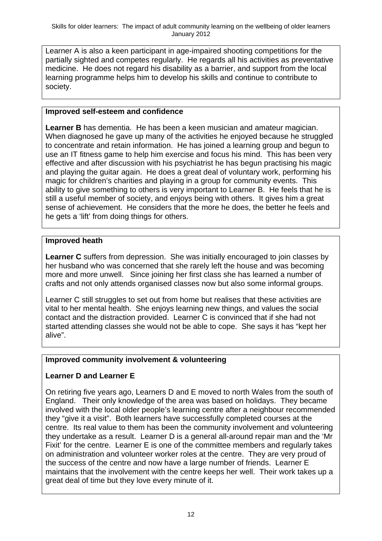Learner A is also a keen participant in age-impaired shooting competitions for the partially sighted and competes regularly. He regards all his activities as preventative medicine. He does not regard his disability as a barrier, and support from the local learning programme helps him to develop his skills and continue to contribute to society.

#### **Improved self-esteem and confidence**

**Learner B** has dementia. He has been a keen musician and amateur magician. When diagnosed he gave up many of the activities he enjoyed because he struggled to concentrate and retain information. He has joined a learning group and begun to use an IT fitness game to help him exercise and focus his mind. This has been very effective and after discussion with his psychiatrist he has begun practising his magic and playing the guitar again. He does a great deal of voluntary work, performing his magic for children's charities and playing in a group for community events. This ability to give something to others is very important to Learner B. He feels that he is still a useful member of society, and enjoys being with others. It gives him a great sense of achievement. He considers that the more he does, the better he feels and he gets a 'lift' from doing things for others.

## **Improved heath**

**Learner C** suffers from depression. She was initially encouraged to join classes by her husband who was concerned that she rarely left the house and was becoming more and more unwell. Since joining her first class she has learned a number of crafts and not only attends organised classes now but also some informal groups.

Learner C still struggles to set out from home but realises that these activities are vital to her mental health. She enjoys learning new things, and values the social contact and the distraction provided. Learner C is convinced that if she had not started attending classes she would not be able to cope. She says it has "kept her alive".

# **Improved community involvement & volunteering**

# **Learner D and Learner E**

On retiring five years ago, Learners D and E moved to north Wales from the south of England. Their only knowledge of the area was based on holidays. They became involved with the local older people's learning centre after a neighbour recommended they "give it a visit". Both learners have successfully completed courses at the centre. Its real value to them has been the community involvement and volunteering they undertake as a result. Learner D is a general all-around repair man and the 'Mr Fixit' for the centre. Learner E is one of the committee members and regularly takes on administration and volunteer worker roles at the centre. They are very proud of the success of the centre and now have a large number of friends. Learner E maintains that the involvement with the centre keeps her well. Their work takes up a great deal of time but they love every minute of it.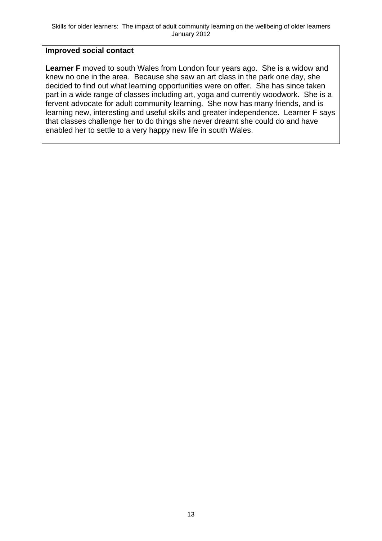#### **Improved social contact**

**Learner F** moved to south Wales from London four years ago. She is a widow and knew no one in the area. Because she saw an art class in the park one day, she decided to find out what learning opportunities were on offer. She has since taken part in a wide range of classes including art, yoga and currently woodwork. She is a fervent advocate for adult community learning. She now has many friends, and is learning new, interesting and useful skills and greater independence. Learner F says that classes challenge her to do things she never dreamt she could do and have enabled her to settle to a very happy new life in south Wales.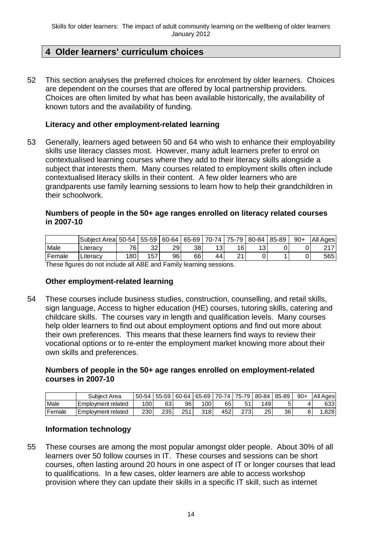# **4 Older learners' curriculum choices**

52 This section analyses the preferred choices for enrolment by older learners. Choices are dependent on the courses that are offered by local partnership providers. Choices are often limited by what has been available historically, the availability of known tutors and the availability of funding.

#### **Literacy and other employment-related learning**

53 Generally, learners aged between 50 and 64 who wish to enhance their employability skills use literacy classes most. However, many adult learners prefer to enrol on contextualised learning courses where they add to their literacy skills alongside a subject that interests them. Many courses related to employment skills often include contextualised literacy skills in their content. A few older learners who are grandparents use family learning sessions to learn how to help their grandchildren in their schoolwork.

#### **Numbers of people in the 50+ age ranges enrolled on literacy related courses in 2007-10**

|        | Subject Area | 50-54            | 55-59 | 60-64 | 65-69 | 70-74      | 75-79         | 80-84    | 85-89 | $90+$ | All<br>Ages |
|--------|--------------|------------------|-------|-------|-------|------------|---------------|----------|-------|-------|-------------|
| Male   | ∟iterac∨     | 76               | 32    | 29    | 38    | 1 2<br>ں ، | 16            | 12.<br>ັ |       |       | 247         |
| Female | ∟iteracy     | 180 <sub>1</sub> | 157   | 96    | 66    | 44         | ົ<br><u>.</u> |          |       |       | 565         |

These figures do not include all ABE and Family learning sessions.

#### **Other employment-related learning**

54 These courses include business studies, construction, counselling, and retail skills, sign language, Access to higher education (HE) courses, tutoring skills, catering and childcare skills. The courses vary in length and qualification levels. Many courses help older learners to find out about employment options and find out more about their own preferences. This means that these learners find ways to review their vocational options or to re-enter the employment market knowing more about their own skills and preferences.

#### **Numbers of people in the 50+ age ranges enrolled on employment-related courses in 2007-10**

|        | Subiect Area         | 50-54 | 55-59 | 60-64 | 65-69         | 70-74 | $75 - 79$ | 80-84 | 85-89 | $90+$ | All<br>Ages |
|--------|----------------------|-------|-------|-------|---------------|-------|-----------|-------|-------|-------|-------------|
| Male   | I Emplovment related | 100   | 63    | 96    | $100^{\circ}$ | 65    | 51<br>ັ   | 149   |       | 4     | 633         |
| Female | I Emplovment related | 230   | 235   | 251   | 318           | 452   | つフつ       | 25    | 36    | 8     | .828        |

#### **Information technology**

55 These courses are among the most popular amongst older people. About 30% of all learners over 50 follow courses in IT. These courses and sessions can be short courses, often lasting around 20 hours in one aspect of IT or longer courses that lead to qualifications. In a few cases, older learners are able to access workshop provision where they can update their skills in a specific IT skill, such as internet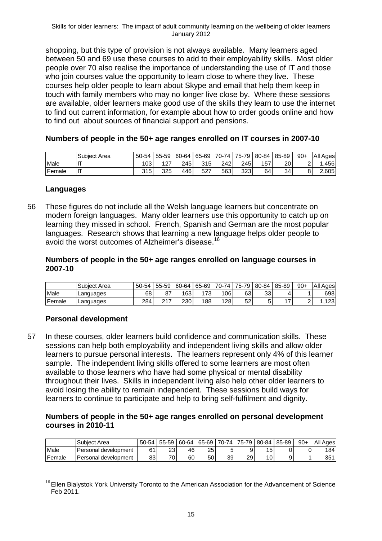shopping, but this type of provision is not always available. Many learners aged between 50 and 69 use these courses to add to their employability skills. Most older people over 70 also realise the importance of understanding the use of IT and those who join courses value the opportunity to learn close to where they live. These courses help older people to learn about Skype and email that help them keep in touch with family members who may no longer live close by. Where these sessions are available, older learners make good use of the skills they learn to use the internet to find out current information, for example about how to order goods online and how to find out about sources of financial support and pensions.

#### **Numbers of people in the 50+ age ranges enrolled on IT courses in 2007-10**

|        | Subject Area | 50-54 | 55-59 | 60-64 | $165-69$ | 70-741 | 75-79 l | 80-84 | 85-89 | $90+$  | All<br>Ages        |
|--------|--------------|-------|-------|-------|----------|--------|---------|-------|-------|--------|--------------------|
| Male   | $-$          | 103   | 107   | 245   | 315      | 242    | 245     | 157   | 20    | ⌒<br>- | 456                |
| Female | .            | 315   | 325   | 446   | 527      | 563    | 323     | 64    | 34    | 8      | $\angle 605^\circ$ |

#### **Languages**

56 These figures do not include all the Welsh language learners but concentrate on modern foreign languages. Many older learners use this opportunity to catch up on learning they missed in school. French, Spanish and German are the most popular languages. Research shows that learning a new language helps older people to avoid the worst outcomes of Alzheimer's disease.<sup>16</sup>

#### **Numbers of people in the 50+ age ranges enrolled on language courses in 2007-10**

|        | <b>Subiect Area</b> | 50-54 | 55-59     | 160-64 | ا 65-69 ا | 70-74 | 75-79 l | $80 - 84$ | 85-89 | $90+$ | All Ages     |
|--------|---------------------|-------|-----------|--------|-----------|-------|---------|-----------|-------|-------|--------------|
| Male   | Languages           | 68    | 87        | 163    | `73⊺∶     | 106   | 63      | າາ<br>ادد |       |       | 698          |
| Female | <b>Languages</b>    | 284   | 0.47<br>∠ | 230    | 188       | 128   | 52      |           | -     | -     | 100.<br>۱۷۵۰ |

#### **Personal development**

57 In these courses, older learners build confidence and communication skills. These sessions can help both employability and independent living skills and allow older learners to pursue personal interests. The learners represent only 4% of this learner sample. The independent living skills offered to some learners are most often available to those learners who have had some physical or mental disability throughout their lives. Skills in independent living also help other older learners to avoid losing the ability to remain independent. These sessions build ways for learners to continue to participate and help to bring self-fulfilment and dignity.

#### **Numbers of people in the 50+ age ranges enrolled on personal development courses in 2010-11**

|        | Subject Area         | 50-54 | 55-59    | 60-64 | 65-69 | 70-74 L | 75-79 | 80-84 | 85-89 | $90+$ | All Ages |
|--------|----------------------|-------|----------|-------|-------|---------|-------|-------|-------|-------|----------|
| Male   | Personal development | C 1   | າາ<br>دے | 46    | 25    | 5       |       | 15    |       | 0     | 184      |
| Female | Personal development | 831   | 70.      | 60    | 50    | 39      | 29    | 10    |       |       | 351      |

<sup>&</sup>lt;u>.</u> <sup>16</sup> Ellen Bialystok York University Toronto to the American Association for the Advancement of Science Feb 2011.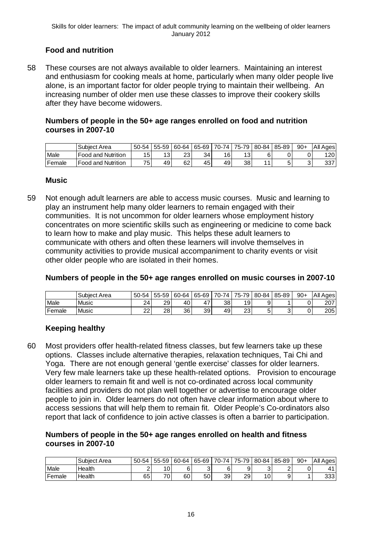# **Food and nutrition**

58 These courses are not always available to older learners. Maintaining an interest and enthusiasm for cooking meals at home, particularly when many older people live alone, is an important factor for older people trying to maintain their wellbeing. An increasing number of older men use these classes to improve their cookery skills after they have become widowers.

#### **Numbers of people in the 50+ age ranges enrolled on food and nutrition courses in 2007-10**

|                | <b>Subiect Area</b>            | $50-54$ | 55-59     | 60-64 | 65-69 l | 70-74 | 75-79 | 80-84 | 85-89 | $90+$ | .All Agesl |
|----------------|--------------------------------|---------|-----------|-------|---------|-------|-------|-------|-------|-------|------------|
| Male           | <b>IFood and Nutrition</b>     | 15      | 12<br>ن ا | 23.   | 34 I    | 16    | 13    | 6     |       |       | 120        |
| <b>IFemale</b> | <b>Food and</b><br>  Nutrition | 75)     | 49        | 62    | 45      | 49    | 38    |       |       |       | 337        |

#### **Music**

59 Not enough adult learners are able to access music courses. Music and learning to play an instrument help many older learners to remain engaged with their communities. It is not uncommon for older learners whose employment history concentrates on more scientific skills such as engineering or medicine to come back to learn how to make and play music. This helps these adult learners to communicate with others and often these learners will involve themselves in community activities to provide musical accompaniment to charity events or visit other older people who are isolated in their homes.

#### **Numbers of people in the 50+ age ranges enrolled on music courses in 2007-10**

|        | Subiect Area | 50-54    | 55-59 | 60-64 | 65-69   70-74   75-79 |    |    | 80-84 | 85-89 | $90+$ | All Ages         |
|--------|--------------|----------|-------|-------|-----------------------|----|----|-------|-------|-------|------------------|
| Male   | <b>Music</b> | 24       | 29    | 40    | 47                    | 38 | 19 |       |       | 0     | 207              |
| Female | Music        | າາ<br>∠∠ | 28 I  | 36    | 39                    | 49 | 23 |       |       | 0     | 205 <sup>I</sup> |

#### **Keeping healthy**

60 Most providers offer health-related fitness classes, but few learners take up these options. Classes include alternative therapies, relaxation techniques, Tai Chi and Yoga. There are not enough general 'gentle exercise' classes for older learners. Very few male learners take up these health-related options. Provision to encourage older learners to remain fit and well is not co-ordinated across local community facilities and providers do not plan well together or advertise to encourage older people to join in. Older learners do not often have clear information about where to access sessions that will help them to remain fit. Older People's Co-ordinators also report that lack of confidence to join active classes is often a barrier to participation.

#### **Numbers of people in the 50+ age ranges enrolled on health and fitness courses in 2007-10**

|        | Subiect Area | 50-54 | 55-59             | 60-64 | 65-69 | $70-74$ | 75-79 L | 80-84           | 85-89 | $90+$ | All Ages |
|--------|--------------|-------|-------------------|-------|-------|---------|---------|-----------------|-------|-------|----------|
| Male   | Health       |       | $\cap$            | ⌒     |       |         | 9       | ັ               |       |       |          |
| Female | Health       | 65    | $70^{\circ}$<br>υ | 60    | 50    | 39      | 29      | 10 <sub>1</sub> | a     |       | 333      |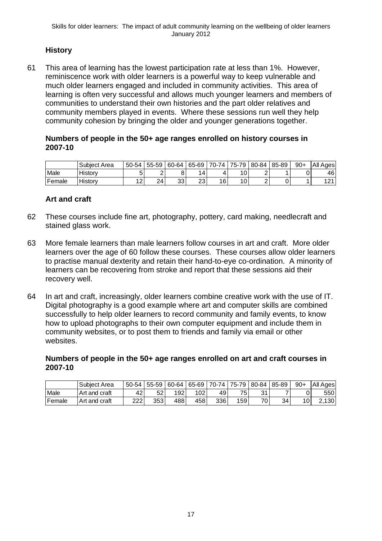# **History**

61 This area of learning has the lowest participation rate at less than 1%. However, reminiscence work with older learners is a powerful way to keep vulnerable and much older learners engaged and included in community activities. This area of learning is often very successful and allows much younger learners and members of communities to understand their own histories and the part older relatives and community members played in events. Where these sessions run well they help community cohesion by bringing the older and younger generations together.

#### **Numbers of people in the 50+ age ranges enrolled on history courses in 2007-10**

|        | Subject Area | 50-54                        | 55-59 | 60-64    | 65-69    | 70-74 | $75 - 79$ | 80-84 | 85-89 | $90+$ | Αll<br>Ages |
|--------|--------------|------------------------------|-------|----------|----------|-------|-----------|-------|-------|-------|-------------|
| Male   | History      |                              |       |          | 4        |       | 10        | ▃     |       |       | 46'         |
| Female | History      | $\sqrt{2}$<br>$\overline{2}$ | 24    | っっ<br>ບບ | つつ<br>∠◡ | 16    | 10        | _     |       |       | 1 0 1<br>▵  |

#### **Art and craft**

- 62 These courses include fine art, photography, pottery, card making, needlecraft and stained glass work.
- 63 More female learners than male learners follow courses in art and craft. More older learners over the age of 60 follow these courses. These courses allow older learners to practise manual dexterity and retain their hand-to-eye co-ordination. A minority of learners can be recovering from stroke and report that these sessions aid their recovery well.
- 64 In art and craft, increasingly, older learners combine creative work with the use of IT. Digital photography is a good example where art and computer skills are combined successfully to help older learners to record community and family events, to know how to upload photographs to their own computer equipment and include them in community websites, or to post them to friends and family via email or other websites.

#### **Numbers of people in the 50+ age ranges enrolled on art and craft courses in 2007-10**

|        | l Subiect Area | 50-54 | 55-59   60-64 |     | 65-69 |     | 70-74   75-79   | 80-84 | 85-89 | $90+$ | All Ages |
|--------|----------------|-------|---------------|-----|-------|-----|-----------------|-------|-------|-------|----------|
| Male   | Art and craft  | 42    | 52            | 192 | 102   | 49  | 75 <sub>1</sub> | 21    |       |       | 550 l    |
| Female | Art and craft  | 222   | 353           | 488 | 458   | 336 | 159             | 70    | 34    |       | 130      |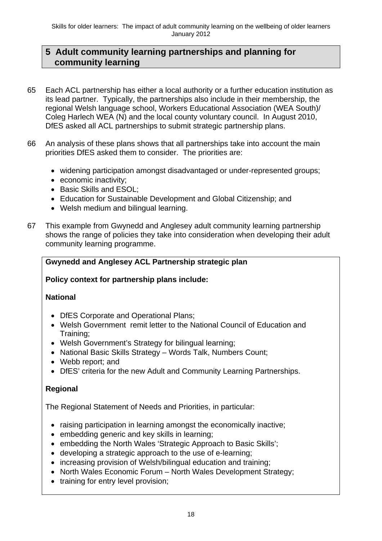# **5 Adult community learning partnerships and planning for community learning**

- 65 Each ACL partnership has either a local authority or a further education institution as its lead partner. Typically, the partnerships also include in their membership, the regional Welsh language school, Workers Educational Association (WEA South)/ Coleg Harlech WEA (N) and the local county voluntary council. In August 2010, DfES asked all ACL partnerships to submit strategic partnership plans.
- 66 An analysis of these plans shows that all partnerships take into account the main priorities DfES asked them to consider. The priorities are:
	- widening participation amongst disadvantaged or under-represented groups;
	- economic inactivity;
	- Basic Skills and ESOL:
	- Education for Sustainable Development and Global Citizenship; and
	- Welsh medium and bilingual learning.
- 67 This example from Gwynedd and Anglesey adult community learning partnership shows the range of policies they take into consideration when developing their adult community learning programme.

## **Gwynedd and Anglesey ACL Partnership strategic plan**

#### **Policy context for partnership plans include:**

#### **National**

- DfES Corporate and Operational Plans:
- Welsh Government remit letter to the National Council of Education and Training;
- Welsh Government's Strategy for bilingual learning;
- National Basic Skills Strategy Words Talk, Numbers Count;
- Webb report; and
- DfES' criteria for the new Adult and Community Learning Partnerships.

#### **Regional**

The Regional Statement of Needs and Priorities, in particular:

- raising participation in learning amongst the economically inactive;
- embedding generic and key skills in learning;
- embedding the North Wales 'Strategic Approach to Basic Skills';
- developing a strategic approach to the use of e-learning;
- increasing provision of Welsh/bilingual education and training;
- North Wales Economic Forum North Wales Development Strategy;
- training for entry level provision;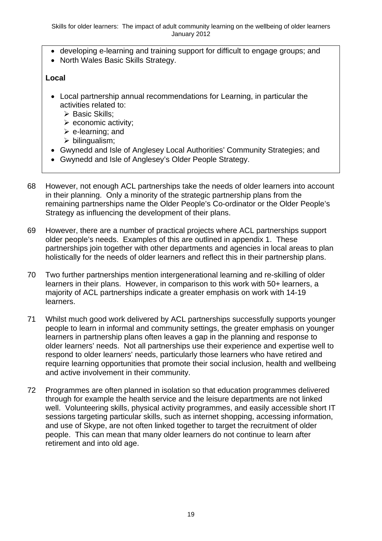- developing e-learning and training support for difficult to engage groups; and
- North Wales Basic Skills Strategy.

#### **Local**

- Local partnership annual recommendations for Learning, in particular the activities related to:
	- ▶ Basic Skills;
	- $\triangleright$  economic activity;
	- $\triangleright$  e-learning; and
	- $\triangleright$  bilingualism;
- Gwynedd and Isle of Anglesey Local Authorities' Community Strategies; and
- Gwynedd and Isle of Anglesey's Older People Strategy.
- 68 However, not enough ACL partnerships take the needs of older learners into account in their planning. Only a minority of the strategic partnership plans from the remaining partnerships name the Older People's Co-ordinator or the Older People's Strategy as influencing the development of their plans.
- 69 However, there are a number of practical projects where ACL partnerships support older people's needs. Examples of this are outlined in appendix 1. These partnerships join together with other departments and agencies in local areas to plan holistically for the needs of older learners and reflect this in their partnership plans.
- 70 Two further partnerships mention intergenerational learning and re-skilling of older learners in their plans. However, in comparison to this work with 50+ learners, a majority of ACL partnerships indicate a greater emphasis on work with 14-19 learners.
- 71 Whilst much good work delivered by ACL partnerships successfully supports younger people to learn in informal and community settings, the greater emphasis on younger learners in partnership plans often leaves a gap in the planning and response to older learners' needs. Not all partnerships use their experience and expertise well to respond to older learners' needs, particularly those learners who have retired and require learning opportunities that promote their social inclusion, health and wellbeing and active involvement in their community.
- 72 Programmes are often planned in isolation so that education programmes delivered through for example the health service and the leisure departments are not linked well. Volunteering skills, physical activity programmes, and easily accessible short IT sessions targeting particular skills, such as internet shopping, accessing information, and use of Skype, are not often linked together to target the recruitment of older people. This can mean that many older learners do not continue to learn after retirement and into old age.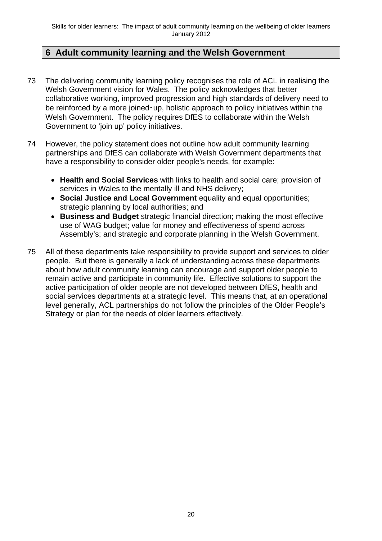# **6 Adult community learning and the Welsh Government**

- 73 The delivering community learning policy recognises the role of ACL in realising the Welsh Government vision for Wales. The policy acknowledges that better collaborative working, improved progression and high standards of delivery need to be reinforced by a more joined-up, holistic approach to policy initiatives within the Welsh Government. The policy requires DfES to collaborate within the Welsh Government to 'join up' policy initiatives.
- 74 However, the policy statement does not outline how adult community learning partnerships and DfES can collaborate with Welsh Government departments that have a responsibility to consider older people's needs, for example:
	- **Health and Social Services** with links to health and social care; provision of services in Wales to the mentally ill and NHS delivery:
	- **Social Justice and Local Government** equality and equal opportunities; strategic planning by local authorities; and
	- **Business and Budget** strategic financial direction; making the most effective use of WAG budget; value for money and effectiveness of spend across Assembly's; and strategic and corporate planning in the Welsh Government.
- 75 All of these departments take responsibility to provide support and services to older people. But there is generally a lack of understanding across these departments about how adult community learning can encourage and support older people to remain active and participate in community life. Effective solutions to support the active participation of older people are not developed between DfES, health and social services departments at a strategic level. This means that, at an operational level generally, ACL partnerships do not follow the principles of the Older People's Strategy or plan for the needs of older learners effectively.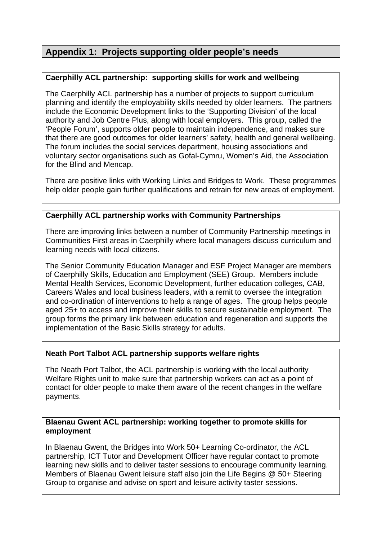# **Appendix 1: Projects supporting older people's needs**

#### **Caerphilly ACL partnership: supporting skills for work and wellbeing**

The Caerphilly ACL partnership has a number of projects to support curriculum planning and identify the employability skills needed by older learners. The partners include the Economic Development links to the 'Supporting Division' of the local authority and Job Centre Plus, along with local employers. This group, called the 'People Forum', supports older people to maintain independence, and makes sure that there are good outcomes for older learners' safety, health and general wellbeing. The forum includes the social services department, housing associations and voluntary sector organisations such as Gofal-Cymru, Women's Aid, the Association for the Blind and Mencap.

There are positive links with Working Links and Bridges to Work. These programmes help older people gain further qualifications and retrain for new areas of employment.

#### **Caerphilly ACL partnership works with Community Partnerships**

There are improving links between a number of Community Partnership meetings in Communities First areas in Caerphilly where local managers discuss curriculum and learning needs with local citizens.

The Senior Community Education Manager and ESF Project Manager are members of Caerphilly Skills, Education and Employment (SEE) Group. Members include Mental Health Services, Economic Development, further education colleges, CAB, Careers Wales and local business leaders, with a remit to oversee the integration and co-ordination of interventions to help a range of ages. The group helps people aged 25+ to access and improve their skills to secure sustainable employment. The group forms the primary link between education and regeneration and supports the implementation of the Basic Skills strategy for adults.

#### **Neath Port Talbot ACL partnership supports welfare rights**

The Neath Port Talbot, the ACL partnership is working with the local authority Welfare Rights unit to make sure that partnership workers can act as a point of contact for older people to make them aware of the recent changes in the welfare payments.

#### **Blaenau Gwent ACL partnership: working together to promote skills for employment**

In Blaenau Gwent, the Bridges into Work 50+ Learning Co-ordinator, the ACL partnership, ICT Tutor and Development Officer have regular contact to promote learning new skills and to deliver taster sessions to encourage community learning. Members of Blaenau Gwent leisure staff also join the Life Begins @ 50+ Steering Group to organise and advise on sport and leisure activity taster sessions.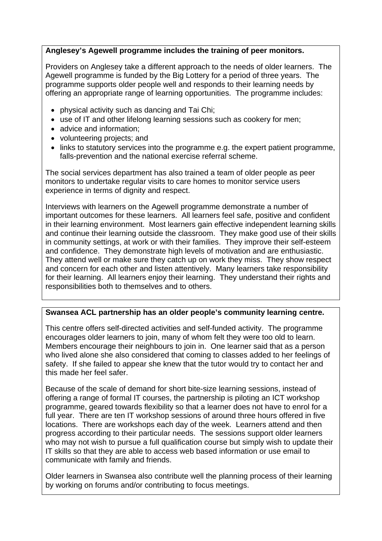#### **Anglesey's Agewell programme includes the training of peer monitors.**

Providers on Anglesey take a different approach to the needs of older learners. The Agewell programme is funded by the Big Lottery for a period of three years. The programme supports older people well and responds to their learning needs by offering an appropriate range of learning opportunities. The programme includes:

- physical activity such as dancing and Tai Chi;
- use of IT and other lifelong learning sessions such as cookery for men;
- advice and information;
- volunteering projects; and
- links to statutory services into the programme e.g. the expert patient programme, falls-prevention and the national exercise referral scheme.

The social services department has also trained a team of older people as peer monitors to undertake regular visits to care homes to monitor service users experience in terms of dignity and respect.

Interviews with learners on the Agewell programme demonstrate a number of important outcomes for these learners. All learners feel safe, positive and confident in their learning environment. Most learners gain effective independent learning skills and continue their learning outside the classroom. They make good use of their skills in community settings, at work or with their families. They improve their self-esteem and confidence. They demonstrate high levels of motivation and are enthusiastic. They attend well or make sure they catch up on work they miss. They show respect and concern for each other and listen attentively. Many learners take responsibility for their learning. All learners enjoy their learning. They understand their rights and responsibilities both to themselves and to others.

#### **Swansea ACL partnership has an older people's community learning centre.**

This centre offers self-directed activities and self-funded activity. The programme encourages older learners to join, many of whom felt they were too old to learn. Members encourage their neighbours to join in. One learner said that as a person who lived alone she also considered that coming to classes added to her feelings of safety. If she failed to appear she knew that the tutor would try to contact her and this made her feel safer.

Because of the scale of demand for short bite-size learning sessions, instead of offering a range of formal IT courses, the partnership is piloting an ICT workshop programme, geared towards flexibility so that a learner does not have to enrol for a full year. There are ten IT workshop sessions of around three hours offered in five locations. There are workshops each day of the week. Learners attend and then progress according to their particular needs. The sessions support older learners who may not wish to pursue a full qualification course but simply wish to update their IT skills so that they are able to access web based information or use email to communicate with family and friends.

Older learners in Swansea also contribute well the planning process of their learning by working on forums and/or contributing to focus meetings.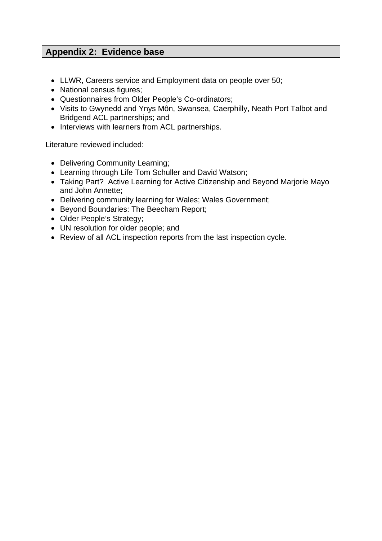# **Appendix 2: Evidence base**

- LLWR, Careers service and Employment data on people over 50;
- National census figures;
- Questionnaires from Older People's Co-ordinators;
- Visits to Gwynedd and Ynys Môn, Swansea, Caerphilly, Neath Port Talbot and Bridgend ACL partnerships; and
- Interviews with learners from ACL partnerships.

Literature reviewed included:

- Delivering Community Learning;
- Learning through Life Tom Schuller and David Watson:
- Taking Part? Active Learning for Active Citizenship and Beyond Marjorie Mayo and John Annette;
- Delivering community learning for Wales; Wales Government;
- Beyond Boundaries: The Beecham Report;
- Older People's Strategy;
- UN resolution for older people; and
- Review of all ACL inspection reports from the last inspection cycle.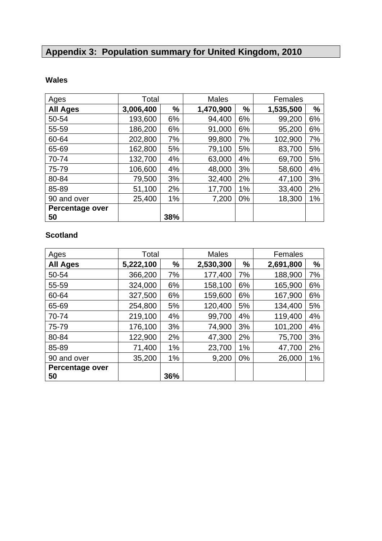# **Appendix 3: Population summary for United Kingdom, 2010**

# **Wales**

| Ages                   | Total     |      | <b>Males</b> |    | Females   |    |  |
|------------------------|-----------|------|--------------|----|-----------|----|--|
| <b>All Ages</b>        | 3,006,400 | $\%$ | 1,470,900    | %  | 1,535,500 | %  |  |
| 50-54                  | 193,600   | 6%   | 94,400       | 6% | 99,200    | 6% |  |
| 55-59                  | 186,200   | 6%   | 91,000       | 6% | 95,200    | 6% |  |
| 60-64                  | 202,800   | 7%   | 99,800       | 7% | 102,900   | 7% |  |
| 65-69                  | 162,800   | 5%   | 79,100       | 5% | 83,700    | 5% |  |
| 70-74                  | 132,700   | 4%   | 63,000       | 4% | 69,700    | 5% |  |
| 75-79                  | 106,600   | 4%   | 48,000       | 3% | 58,600    | 4% |  |
| 80-84                  | 79,500    | 3%   | 32,400       | 2% | 47,100    | 3% |  |
| 85-89                  | 51,100    | 2%   | 17,700       | 1% | 33,400    | 2% |  |
| 90 and over            | 25,400    | 1%   | 7,200        | 0% | 18,300    | 1% |  |
| <b>Percentage over</b> |           |      |              |    |           |    |  |
| 50                     |           | 38%  |              |    |           |    |  |

# **Scotland**

| Ages            | Total     |     | <b>Males</b> |    | Females   |      |
|-----------------|-----------|-----|--------------|----|-----------|------|
| <b>All Ages</b> | 5,222,100 | %   | 2,530,300    | %  | 2,691,800 | $\%$ |
| 50-54           | 366,200   | 7%  | 177,400      | 7% | 188,900   | 7%   |
| 55-59           | 324,000   | 6%  | 158,100      | 6% | 165,900   | 6%   |
| 60-64           | 327,500   | 6%  | 159,600      | 6% | 167,900   | 6%   |
| 65-69           | 254,800   | 5%  | 120,400      | 5% | 134,400   | 5%   |
| 70-74           | 219,100   | 4%  | 99,700       | 4% | 119,400   | 4%   |
| 75-79           | 176,100   | 3%  | 74,900       | 3% | 101,200   | 4%   |
| 80-84           | 122,900   | 2%  | 47,300       | 2% | 75,700    | 3%   |
| 85-89           | 71,400    | 1%  | 23,700       | 1% | 47,700    | 2%   |
| 90 and over     | 35,200    | 1%  | 9,200        | 0% | 26,000    | 1%   |
| Percentage over |           |     |              |    |           |      |
| 50              |           | 36% |              |    |           |      |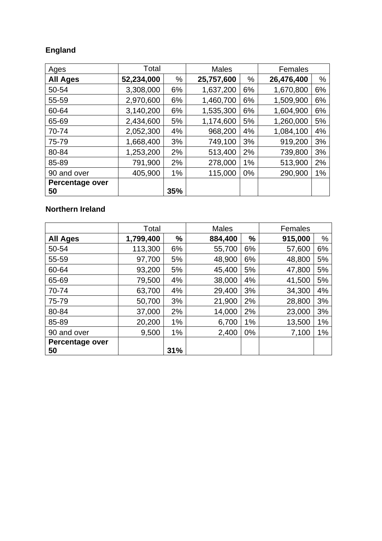# **England**

| Ages                  | Total      |     | <b>Males</b> |    | Females    |    |  |
|-----------------------|------------|-----|--------------|----|------------|----|--|
| <b>All Ages</b>       | 52,234,000 | %   | 25,757,600   | %  | 26,476,400 | %  |  |
| 50-54                 | 3,308,000  | 6%  | 1,637,200    | 6% | 1,670,800  | 6% |  |
| 55-59                 | 2,970,600  | 6%  | 1,460,700    | 6% | 1,509,900  | 6% |  |
| 60-64                 | 3,140,200  | 6%  | 1,535,300    | 6% | 1,604,900  | 6% |  |
| 65-69                 | 2,434,600  | 5%  | 1,174,600    | 5% | 1,260,000  | 5% |  |
| 70-74                 | 2,052,300  | 4%  | 968,200      | 4% | 1,084,100  | 4% |  |
| 75-79                 | 1,668,400  | 3%  | 749,100      | 3% | 919,200    | 3% |  |
| 80-84                 | 1,253,200  | 2%  | 513,400      | 2% | 739,800    | 3% |  |
| 85-89                 | 791,900    | 2%  | 278,000      | 1% | 513,900    | 2% |  |
| 90 and over           | 405,900    | 1%  | 115,000      | 0% | 290,900    | 1% |  |
| Percentage over<br>50 |            | 35% |              |    |            |    |  |

# **Northern Ireland**

|                 | Total     |      | <b>Males</b> |       | Females |      |  |
|-----------------|-----------|------|--------------|-------|---------|------|--|
| <b>All Ages</b> | 1,799,400 | $\%$ | 884,400      | %     | 915,000 | $\%$ |  |
| 50-54           | 113,300   | 6%   | 55,700       | 6%    | 57,600  | 6%   |  |
| 55-59           | 97,700    | 5%   | 48,900       | 6%    | 48,800  | 5%   |  |
| 60-64           | 93,200    | 5%   | 45,400       | 5%    | 47,800  | 5%   |  |
| 65-69           | 79,500    | 4%   | 38,000       | 4%    | 41,500  | 5%   |  |
| 70-74           | 63,700    | 4%   | 29,400       | 3%    | 34,300  | 4%   |  |
| 75-79           | 50,700    | 3%   | 21,900       | 2%    | 28,800  | 3%   |  |
| 80-84           | 37,000    | 2%   | 14,000       | 2%    | 23,000  | 3%   |  |
| 85-89           | 20,200    | 1%   | 6,700        | 1%    | 13,500  | 1%   |  |
| 90 and over     | 9,500     | 1%   | 2,400        | $0\%$ | 7,100   | 1%   |  |
| Percentage over |           |      |              |       |         |      |  |
| 50              |           | 31%  |              |       |         |      |  |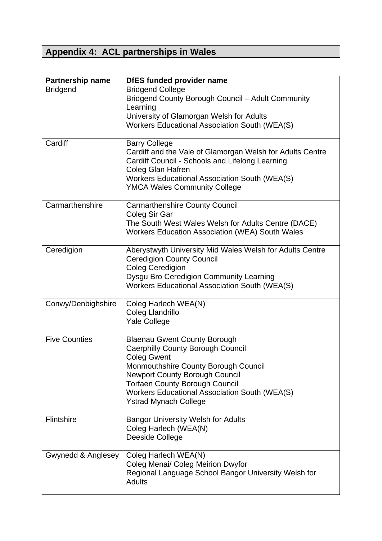# **Appendix 4: ACL partnerships in Wales**

| Partnership name     | <b>DfES funded provider name</b>                                                                                                                                                                                                                                                                                 |
|----------------------|------------------------------------------------------------------------------------------------------------------------------------------------------------------------------------------------------------------------------------------------------------------------------------------------------------------|
| <b>Bridgend</b>      | <b>Bridgend College</b><br>Bridgend County Borough Council - Adult Community<br>Learning                                                                                                                                                                                                                         |
|                      | University of Glamorgan Welsh for Adults<br><b>Workers Educational Association South (WEA(S)</b>                                                                                                                                                                                                                 |
| Cardiff              | <b>Barry College</b><br>Cardiff and the Vale of Glamorgan Welsh for Adults Centre<br>Cardiff Council - Schools and Lifelong Learning<br><b>Coleg Glan Hafren</b><br><b>Workers Educational Association South (WEA(S)</b><br><b>YMCA Wales Community College</b>                                                  |
| Carmarthenshire      | <b>Carmarthenshire County Council</b><br>Coleg Sir Gar<br>The South West Wales Welsh for Adults Centre (DACE)<br>Workers Education Association (WEA) South Wales                                                                                                                                                 |
| Ceredigion           | Aberystwyth University Mid Wales Welsh for Adults Centre<br><b>Ceredigion County Council</b><br><b>Coleg Ceredigion</b><br>Dysgu Bro Ceredigion Community Learning<br><b>Workers Educational Association South (WEA(S)</b>                                                                                       |
| Conwy/Denbighshire   | Coleg Harlech WEA(N)<br>Coleg Llandrillo<br><b>Yale College</b>                                                                                                                                                                                                                                                  |
| <b>Five Counties</b> | <b>Blaenau Gwent County Borough</b><br><b>Caerphilly County Borough Council</b><br><b>Coleg Gwent</b><br>Monmouthshire County Borough Council<br><b>Newport County Borough Council</b><br><b>Torfaen County Borough Council</b><br>Workers Educational Association South (WEA(S)<br><b>Ystrad Mynach College</b> |
| Flintshire           | <b>Bangor University Welsh for Adults</b><br>Coleg Harlech (WEA(N)<br>Deeside College                                                                                                                                                                                                                            |
| Gwynedd & Anglesey   | Coleg Harlech WEA(N)<br>Coleg Menai/ Coleg Meirion Dwyfor<br>Regional Language School Bangor University Welsh for<br><b>Adults</b>                                                                                                                                                                               |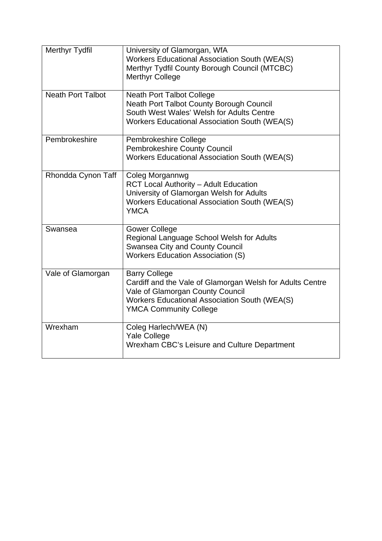| <b>Merthyr Tydfil</b>    | University of Glamorgan, WfA<br><b>Workers Educational Association South (WEA(S)</b><br>Merthyr Tydfil County Borough Council (MTCBC)<br><b>Merthyr College</b>                                                |
|--------------------------|----------------------------------------------------------------------------------------------------------------------------------------------------------------------------------------------------------------|
| <b>Neath Port Talbot</b> | <b>Neath Port Talbot College</b><br><b>Neath Port Talbot County Borough Council</b><br>South West Wales' Welsh for Adults Centre<br>Workers Educational Association South (WEA(S)                              |
| Pembrokeshire            | Pembrokeshire College<br><b>Pembrokeshire County Council</b><br><b>Workers Educational Association South (WEA(S)</b>                                                                                           |
| Rhondda Cynon Taff       | Coleg Morgannwg<br><b>RCT Local Authority - Adult Education</b><br>University of Glamorgan Welsh for Adults<br><b>Workers Educational Association South (WEA(S)</b><br><b>YMCA</b>                             |
| Swansea                  | <b>Gower College</b><br>Regional Language School Welsh for Adults<br><b>Swansea City and County Council</b><br><b>Workers Education Association (S)</b>                                                        |
| Vale of Glamorgan        | <b>Barry College</b><br>Cardiff and the Vale of Glamorgan Welsh for Adults Centre<br>Vale of Glamorgan County Council<br><b>Workers Educational Association South (WEA(S)</b><br><b>YMCA Community College</b> |
| Wrexham                  | Coleg Harlech/WEA (N)<br><b>Yale College</b><br>Wrexham CBC's Leisure and Culture Department                                                                                                                   |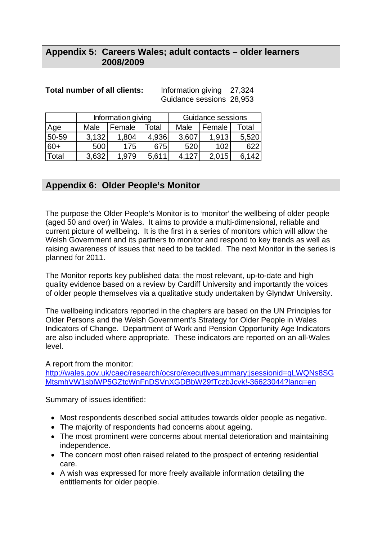# **Appendix 5: Careers Wales; adult contacts – older learners 2008/2009**

#### **Total number of all clients:** Information giving 27,324

Guidance sessions 28,953

|       |       | Information giving |       | Guidance sessions |        |       |  |
|-------|-------|--------------------|-------|-------------------|--------|-------|--|
| Age   | Male  | Female             | Total | Male              | Female | Total |  |
| 50-59 | 3.132 | 1,804              | 4,936 | 3,607             | 1.913  | 5,520 |  |
| $60+$ | 500   | 175                | 675   | 520               | 102    | 622   |  |
| Total | 3.632 | 1.979              | 5,611 | 4.127             | 2.015  | 6.142 |  |

# **Appendix 6: Older People's Monitor**

The purpose the Older People's Monitor is to 'monitor' the wellbeing of older people (aged 50 and over) in Wales. It aims to provide a multi-dimensional, reliable and current picture of wellbeing. It is the first in a series of monitors which will allow the Welsh Government and its partners to monitor and respond to key trends as well as raising awareness of issues that need to be tackled. The next Monitor in the series is planned for 2011.

The Monitor reports key published data: the most relevant, up-to-date and high quality evidence based on a review by Cardiff University and importantly the voices of older people themselves via a qualitative study undertaken by Glyndwr University.

The wellbeing indicators reported in the chapters are based on the UN Principles for Older Persons and the Welsh Government's Strategy for Older People in Wales Indicators of Change. Department of Work and Pension Opportunity Age Indicators are also included where appropriate. These indicators are reported on an all-Wales level.

A report from the monitor:

http://wales.gov.uk/caec/research/ocsro/executivesummary;jsessionid=qLWQNs8SG MtsmhVW1sblWP5GZtcWnFnDSVnXGDBbW29fTczbJcvk!-36623044?lang=en

Summary of issues identified:

- Most respondents described social attitudes towards older people as negative.
- The majority of respondents had concerns about ageing.
- The most prominent were concerns about mental deterioration and maintaining independence.
- The concern most often raised related to the prospect of entering residential care.
- A wish was expressed for more freely available information detailing the entitlements for older people.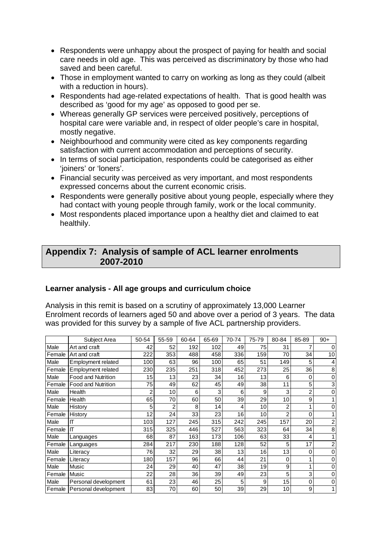- Respondents were unhappy about the prospect of paying for health and social care needs in old age. This was perceived as discriminatory by those who had saved and been careful.
- Those in employment wanted to carry on working as long as they could (albeit with a reduction in hours).
- Respondents had age-related expectations of health. That is good health was described as 'good for my age' as opposed to good per se.
- Whereas generally GP services were perceived positively, perceptions of hospital care were variable and, in respect of older people's care in hospital, mostly negative.
- Neighbourhood and community were cited as key components regarding satisfaction with current accommodation and perceptions of security.
- In terms of social participation, respondents could be categorised as either 'joiners' or 'loners'.
- Financial security was perceived as very important, and most respondents expressed concerns about the current economic crisis.
- Respondents were generally positive about young people, especially where they had contact with young people through family, work or the local community.
- Most respondents placed importance upon a healthy diet and claimed to eat healthily.

# **Appendix 7: Analysis of sample of ACL learner enrolments 2007-2010**

#### **Learner analysis - All age groups and curriculum choice**

Analysis in this remit is based on a scrutiny of approximately 13,000 Learner Enrolment records of learners aged 50 and above over a period of 3 years. The data was provided for this survey by a sample of five ACL partnership providers.

|        | Subject Area                | 50-54 | 55-59 | 60-64 | 65-69 | 70-74 | 75-79           | 80-84           | 85-89 | $90+$       |
|--------|-----------------------------|-------|-------|-------|-------|-------|-----------------|-----------------|-------|-------------|
| Male   | Art and craft               | 42    | 52    | 192   | 102   | 49    | 75              | 31              |       | 0           |
| Female | Art and craft               | 222   | 353   | 488   | 458   | 336   | 159             | 70              | 34    | 10          |
| Male   | <b>Employment related</b>   | 100   | 63    | 96    | 100   | 65    | 51              | 149             | 5     | 4           |
| Female | Employment related          | 230   | 235   | 251   | 318   | 452   | 273             | 25              | 36    | 8           |
| Male   | <b>Food and Nutrition</b>   | 15    | 13    | 23    | 34    | 16    | 13              | 6               | 0     | $\mathbf 0$ |
| Female | <b>Food and Nutrition</b>   | 75    | 49    | 62    | 45    | 49    | 38              | 11              | 5     | 3           |
| Male   | Health                      | 2     | 10    | 6     | 3     | 6     | 9               | 3               | 2     | 0           |
| Female | Health                      | 65    | 70    | 60    | 50    | 39    | 29              | 10              | 9     |             |
| Male   | History                     | 5     |       | 8     | 14    | 4     | 10              | 2               |       | 0           |
| Female | History                     | 12    | 24    | 33    | 23    | 16    | 10 <sup>1</sup> | $\overline{2}$  | 0     |             |
| Male   | Ш                           | 103   | 127   | 245   | 315   | 242   | 245             | 157             | 20    | 2           |
| Female | Iщ                          | 315   | 325   | 446   | 527   | 563   | 323             | 64              | 34    | 8           |
| Male   | Languages                   | 68    | 87    | 163   | 173   | 106   | 63              | 33              | 4     |             |
| Female | Languages                   | 284   | 217   | 230   | 188   | 128   | 52              | 5               | 17    | 2           |
| Male   | Literacy                    | 76    | 32    | 29    | 38    | 13    | 16              | 13              | 0     | 0           |
| Female | Literacy                    | 180   | 157   | 96    | 66    | 44    | 21              | 0               |       | 0           |
| Male   | Music                       | 24    | 29    | 40    | 47    | 38    | 19              | 9               |       | 0           |
| Female | <b>Music</b>                | 22    | 28    | 36    | 39    | 49    | 23              | 5               | 3     | 0           |
| Male   | Personal development        | 61    | 23    | 46    | 25    | 5     | 9               | 15              | 0     | 0           |
|        | Female Personal development | 83    | 70    | 60    | 50    | 39    | 29              | 10 <sup>1</sup> | 9     |             |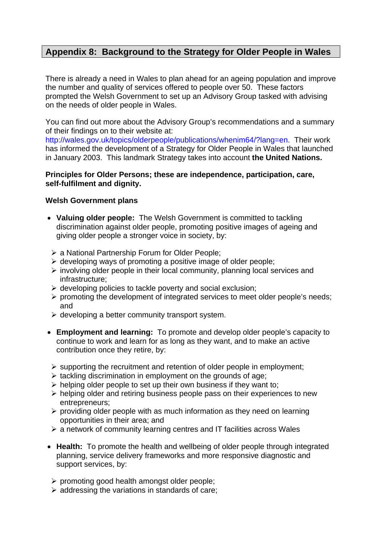# **Appendix 8: Background to the Strategy for Older People in Wales**

There is already a need in Wales to plan ahead for an ageing population and improve the number and quality of services offered to people over 50. These factors prompted the Welsh Government to set up an Advisory Group tasked with advising on the needs of older people in Wales.

You can find out more about the Advisory Group's recommendations and a summary of their findings on to their website at:

http://wales.gov.uk/topics/olderpeople/publications/whenim64/?lang=en. Their work has informed the development of a Strategy for Older People in Wales that launched in January 2003. This landmark Strategy takes into account **the United Nations.** 

#### **Principles for Older Persons; these are independence, participation, care, self-fulfilment and dignity.**

#### **Welsh Government plans**

- **Valuing older people:** The Welsh Government is committed to tackling discrimination against older people, promoting positive images of ageing and giving older people a stronger voice in society, by:
	- $\triangleright$  a National Partnership Forum for Older People;
	- $\triangleright$  developing ways of promoting a positive image of older people;
	- $\triangleright$  involving older people in their local community, planning local services and infrastructure;
	- $\triangleright$  developing policies to tackle poverty and social exclusion;
	- $\triangleright$  promoting the development of integrated services to meet older people's needs; and
- developing a better community transport system.
- **Employment and learning:** To promote and develop older people's capacity to continue to work and learn for as long as they want, and to make an active contribution once they retire, by:
- $\triangleright$  supporting the recruitment and retention of older people in employment;
- $\triangleright$  tackling discrimination in employment on the grounds of age;
- $\triangleright$  helping older people to set up their own business if they want to;
- $\triangleright$  helping older and retiring business people pass on their experiences to new entrepreneurs;
- $\triangleright$  providing older people with as much information as they need on learning opportunities in their area; and
- $\triangleright$  a network of community learning centres and IT facilities across Wales
- **Health:** To promote the health and wellbeing of older people through integrated planning, service delivery frameworks and more responsive diagnostic and support services, by:
	- $\triangleright$  promoting good health amongst older people;
	- $\triangleright$  addressing the variations in standards of care;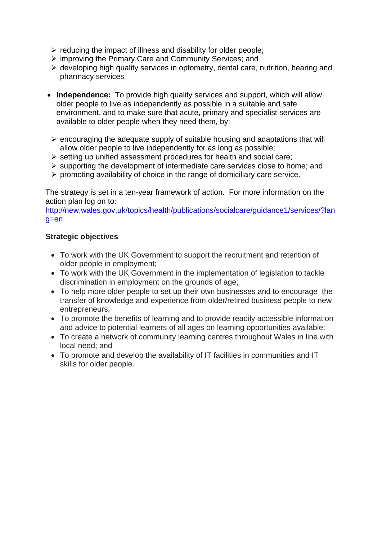- $\triangleright$  reducing the impact of illness and disability for older people;
- $\triangleright$  improving the Primary Care and Community Services; and
- $\triangleright$  developing high quality services in optometry, dental care, nutrition, hearing and pharmacy services
- **Independence:** To provide high quality services and support, which will allow older people to live as independently as possible in a suitable and safe environment, and to make sure that acute, primary and specialist services are available to older people when they need them, by:
- $\triangleright$  encouraging the adequate supply of suitable housing and adaptations that will allow older people to live independently for as long as possible;
- $\triangleright$  setting up unified assessment procedures for health and social care;
- $\triangleright$  supporting the development of intermediate care services close to home; and
- $\triangleright$  promoting availability of choice in the range of domiciliary care service.

The strategy is set in a ten-year framework of action. For more information on the action plan log on to:

http://new.wales.gov.uk/topics/health/publications/socialcare/guidance1/services/?lan g=en

#### **Strategic objectives**

- To work with the UK Government to support the recruitment and retention of older people in employment;
- To work with the UK Government in the implementation of legislation to tackle discrimination in employment on the grounds of age;
- To help more older people to set up their own businesses and to encourage the transfer of knowledge and experience from older/retired business people to new entrepreneurs;
- To promote the benefits of learning and to provide readily accessible information and advice to potential learners of all ages on learning opportunities available;
- To create a network of community learning centres throughout Wales in line with local need; and
- To promote and develop the availability of IT facilities in communities and IT skills for older people.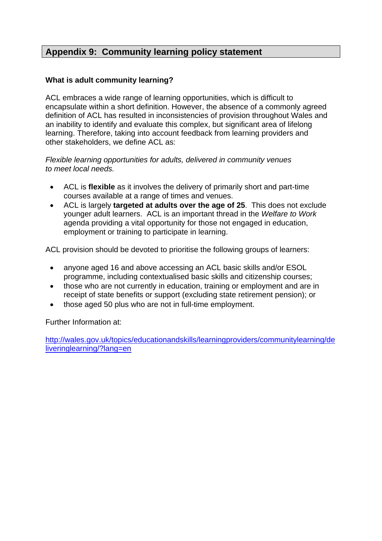# **Appendix 9: Community learning policy statement**

#### **What is adult community learning?**

ACL embraces a wide range of learning opportunities, which is difficult to encapsulate within a short definition. However, the absence of a commonly agreed definition of ACL has resulted in inconsistencies of provision throughout Wales and an inability to identify and evaluate this complex, but significant area of lifelong learning. Therefore, taking into account feedback from learning providers and other stakeholders, we define ACL as:

*Flexible learning opportunities for adults, delivered in community venues to meet local needs.* 

- ACL is **flexible** as it involves the delivery of primarily short and part-time courses available at a range of times and venues.
- ACL is largely **targeted at adults over the age of 25**.This does not exclude younger adult learners. ACL is an important thread in the *Welfare to Work*  agenda providing a vital opportunity for those not engaged in education, employment or training to participate in learning.

ACL provision should be devoted to prioritise the following groups of learners:

- anyone aged 16 and above accessing an ACL basic skills and/or ESOL programme, including contextualised basic skills and citizenship courses;
- those who are not currently in education, training or employment and are in receipt of state benefits or support (excluding state retirement pension); or
- those aged 50 plus who are not in full-time employment.

Further Information at:

http://wales.gov.uk/topics/educationandskills/learningproviders/communitylearning/de liveringlearning/?lang=en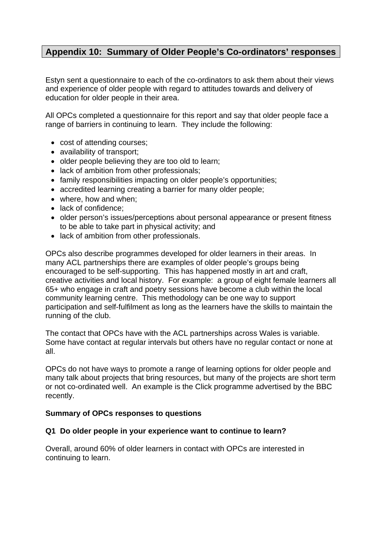# **Appendix 10: Summary of Older People's Co-ordinators' responses**

Estyn sent a questionnaire to each of the co-ordinators to ask them about their views and experience of older people with regard to attitudes towards and delivery of education for older people in their area.

All OPCs completed a questionnaire for this report and say that older people face a range of barriers in continuing to learn. They include the following:

- cost of attending courses;
- availability of transport;
- older people believing they are too old to learn;
- lack of ambition from other professionals;
- family responsibilities impacting on older people's opportunities;
- accredited learning creating a barrier for many older people;
- where, how and when:
- lack of confidence:
- older person's issues/perceptions about personal appearance or present fitness to be able to take part in physical activity; and
- lack of ambition from other professionals.

OPCs also describe programmes developed for older learners in their areas. In many ACL partnerships there are examples of older people's groups being encouraged to be self-supporting. This has happened mostly in art and craft, creative activities and local history. For example: a group of eight female learners all 65+ who engage in craft and poetry sessions have become a club within the local community learning centre. This methodology can be one way to support participation and self-fulfilment as long as the learners have the skills to maintain the running of the club.

The contact that OPCs have with the ACL partnerships across Wales is variable. Some have contact at regular intervals but others have no regular contact or none at all.

OPCs do not have ways to promote a range of learning options for older people and many talk about projects that bring resources, but many of the projects are short term or not co-ordinated well. An example is the Click programme advertised by the BBC recently.

#### **Summary of OPCs responses to questions**

#### **Q1 Do older people in your experience want to continue to learn?**

Overall, around 60% of older learners in contact with OPCs are interested in continuing to learn.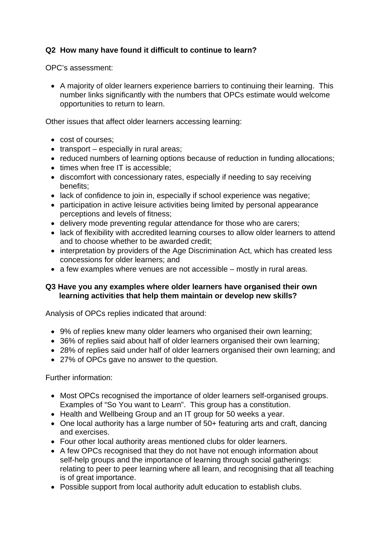# **Q2 How many have found it difficult to continue to learn?**

OPC's assessment:

 A majority of older learners experience barriers to continuing their learning. This number links significantly with the numbers that OPCs estimate would welcome opportunities to return to learn.

Other issues that affect older learners accessing learning:

- cost of courses;
- $\bullet$  transport especially in rural areas;
- reduced numbers of learning options because of reduction in funding allocations;
- times when free IT is accessible;
- discomfort with concessionary rates, especially if needing to say receiving benefits;
- lack of confidence to join in, especially if school experience was negative;
- participation in active leisure activities being limited by personal appearance perceptions and levels of fitness;
- delivery mode preventing regular attendance for those who are carers;
- lack of flexibility with accredited learning courses to allow older learners to attend and to choose whether to be awarded credit;
- interpretation by providers of the Age Discrimination Act, which has created less concessions for older learners; and
- a few examples where venues are not accessible mostly in rural areas.

#### **Q3 Have you any examples where older learners have organised their own learning activities that help them maintain or develop new skills?**

Analysis of OPCs replies indicated that around:

- 9% of replies knew many older learners who organised their own learning;
- 36% of replies said about half of older learners organised their own learning:
- 28% of replies said under half of older learners organised their own learning; and
- 27% of OPCs gave no answer to the question.

Further information:

- Most OPCs recognised the importance of older learners self-organised groups. Examples of "So You want to Learn". This group has a constitution.
- Health and Wellbeing Group and an IT group for 50 weeks a year.
- One local authority has a large number of 50+ featuring arts and craft, dancing and exercises.
- Four other local authority areas mentioned clubs for older learners.
- A few OPCs recognised that they do not have not enough information about self-help groups and the importance of learning through social gatherings: relating to peer to peer learning where all learn, and recognising that all teaching is of great importance.
- Possible support from local authority adult education to establish clubs.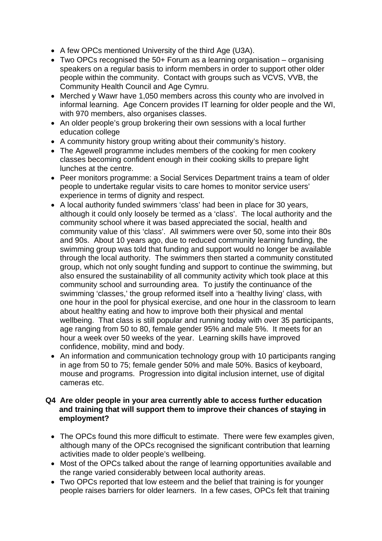- A few OPCs mentioned University of the third Age (U3A).
- Two OPCs recognised the 50+ Forum as a learning organisation organising speakers on a regular basis to inform members in order to support other older people within the community. Contact with groups such as VCVS, VVB, the Community Health Council and Age Cymru.
- Merched y Wawr have 1,050 members across this county who are involved in informal learning. Age Concern provides IT learning for older people and the WI, with 970 members, also organises classes.
- An older people's group brokering their own sessions with a local further education college
- A community history group writing about their community's history.
- The Agewell programme includes members of the cooking for men cookery classes becoming confident enough in their cooking skills to prepare light lunches at the centre.
- Peer monitors programme: a Social Services Department trains a team of older people to undertake regular visits to care homes to monitor service users' experience in terms of dignity and respect.
- A local authority funded swimmers 'class' had been in place for 30 years, although it could only loosely be termed as a 'class'. The local authority and the community school where it was based appreciated the social, health and community value of this 'class'. All swimmers were over 50, some into their 80s and 90s. About 10 years ago, due to reduced community learning funding, the swimming group was told that funding and support would no longer be available through the local authority. The swimmers then started a community constituted group, which not only sought funding and support to continue the swimming, but also ensured the sustainability of all community activity which took place at this community school and surrounding area. To justify the continuance of the swimming 'classes,' the group reformed itself into a 'healthy living' class, with one hour in the pool for physical exercise, and one hour in the classroom to learn about healthy eating and how to improve both their physical and mental wellbeing. That class is still popular and running today with over 35 participants, age ranging from 50 to 80, female gender 95% and male 5%. It meets for an hour a week over 50 weeks of the year. Learning skills have improved confidence, mobility, mind and body.
- An information and communication technology group with 10 participants ranging in age from 50 to 75; female gender 50% and male 50%. Basics of keyboard, mouse and programs. Progression into digital inclusion internet, use of digital cameras etc.

#### **Q4 Are older people in your area currently able to access further education and training that will support them to improve their chances of staying in employment?**

- The OPCs found this more difficult to estimate. There were few examples given, although many of the OPCs recognised the significant contribution that learning activities made to older people's wellbeing.
- Most of the OPCs talked about the range of learning opportunities available and the range varied considerably between local authority areas.
- Two OPCs reported that low esteem and the belief that training is for younger people raises barriers for older learners. In a few cases, OPCs felt that training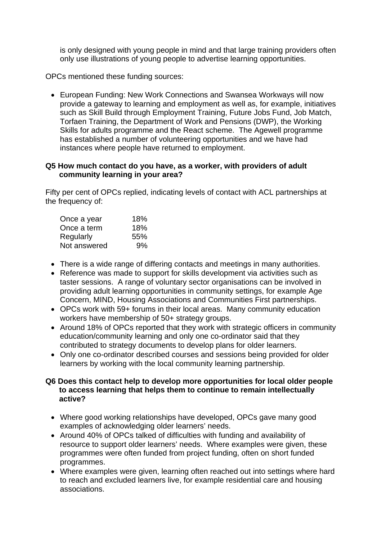is only designed with young people in mind and that large training providers often only use illustrations of young people to advertise learning opportunities.

OPCs mentioned these funding sources:

 European Funding: New Work Connections and Swansea Workways will now provide a gateway to learning and employment as well as, for example, initiatives such as Skill Build through Employment Training, Future Jobs Fund, Job Match, Torfaen Training, the Department of Work and Pensions (DWP), the Working Skills for adults programme and the React scheme. The Agewell programme has established a number of volunteering opportunities and we have had instances where people have returned to employment.

#### **Q5 How much contact do you have, as a worker, with providers of adult community learning in your area?**

Fifty per cent of OPCs replied, indicating levels of contact with ACL partnerships at the frequency of:

| Once a year  | 18% |
|--------------|-----|
| Once a term  | 18% |
| Regularly    | 55% |
| Not answered | 9%  |

- There is a wide range of differing contacts and meetings in many authorities.
- Reference was made to support for skills development via activities such as taster sessions. A range of voluntary sector organisations can be involved in providing adult learning opportunities in community settings, for example Age Concern, MIND, Housing Associations and Communities First partnerships.
- OPCs work with 59+ forums in their local areas. Many community education workers have membership of 50+ strategy groups.
- Around 18% of OPCs reported that they work with strategic officers in community education/community learning and only one co-ordinator said that they contributed to strategy documents to develop plans for older learners.
- Only one co-ordinator described courses and sessions being provided for older learners by working with the local community learning partnership.

#### **Q6 Does this contact help to develop more opportunities for local older people to access learning that helps them to continue to remain intellectually active?**

- Where good working relationships have developed, OPCs gave many good examples of acknowledging older learners' needs.
- Around 40% of OPCs talked of difficulties with funding and availability of resource to support older learners' needs. Where examples were given, these programmes were often funded from project funding, often on short funded programmes.
- Where examples were given, learning often reached out into settings where hard to reach and excluded learners live, for example residential care and housing associations.